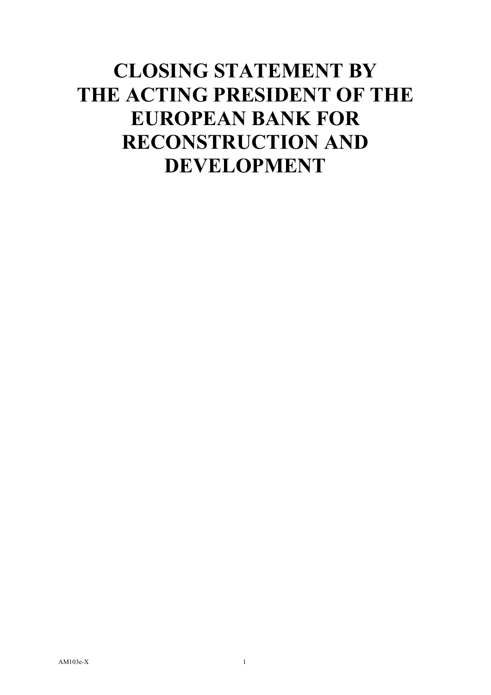# **CLOSING STATEMENT BY THE ACTING PRESIDENT OF THE EUROPEAN BANK FOR RECONSTRUCTION AND DEVELOPMENT**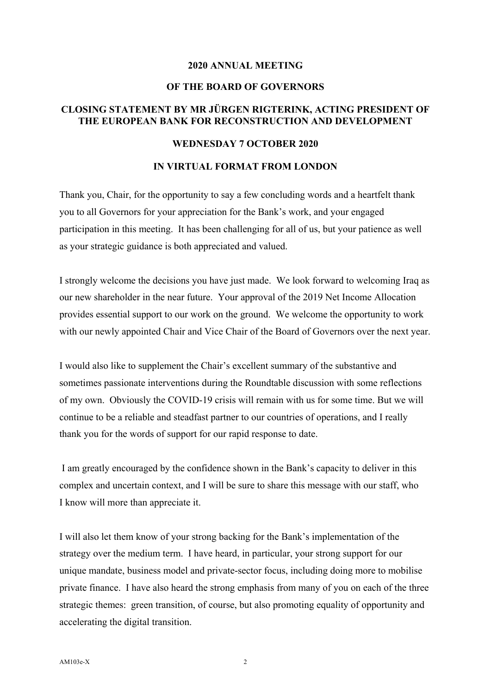### **2020 ANNUAL MEETING**

## **OF THE BOARD OF GOVERNORS**

## **CLOSING STATEMENT BY MR JÜRGEN RIGTERINK, ACTING PRESIDENT OF THE EUROPEAN BANK FOR RECONSTRUCTION AND DEVELOPMENT**

## **WEDNESDAY 7 OCTOBER 2020**

#### **IN VIRTUAL FORMAT FROM LONDON**

Thank you, Chair, for the opportunity to say a few concluding words and a heartfelt thank you to all Governors for your appreciation for the Bank's work, and your engaged participation in this meeting. It has been challenging for all of us, but your patience as well as your strategic guidance is both appreciated and valued.

I strongly welcome the decisions you have just made. We look forward to welcoming Iraq as our new shareholder in the near future. Your approval of the 2019 Net Income Allocation provides essential support to our work on the ground. We welcome the opportunity to work with our newly appointed Chair and Vice Chair of the Board of Governors over the next year.

I would also like to supplement the Chair's excellent summary of the substantive and sometimes passionate interventions during the Roundtable discussion with some reflections of my own. Obviously the COVID-19 crisis will remain with us for some time. But we will continue to be a reliable and steadfast partner to our countries of operations, and I really thank you for the words of support for our rapid response to date.

 I am greatly encouraged by the confidence shown in the Bank's capacity to deliver in this complex and uncertain context, and I will be sure to share this message with our staff, who I know will more than appreciate it.

I will also let them know of your strong backing for the Bank's implementation of the strategy over the medium term. I have heard, in particular, your strong support for our unique mandate, business model and private-sector focus, including doing more to mobilise private finance. I have also heard the strong emphasis from many of you on each of the three strategic themes: green transition, of course, but also promoting equality of opportunity and accelerating the digital transition.